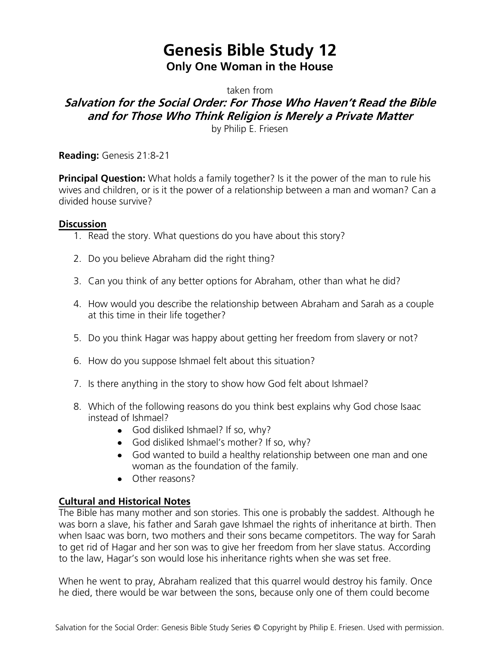# **Genesis Bible Study 12 Only One Woman in the House**

taken from

## **Salvation for the Social Order: For Those Who Haven't Read the Bible and for Those Who Think Religion is Merely a Private Matter**

by Philip E. Friesen

**Reading:** Genesis 21:8-21

**Principal Question:** What holds a family together? Is it the power of the man to rule his wives and children, or is it the power of a relationship between a man and woman? Can a divided house survive?

### **Discussion**

- 1. Read the story. What questions do you have about this story?
- 2. Do you believe Abraham did the right thing?
- 3. Can you think of any better options for Abraham, other than what he did?
- 4. How would you describe the relationship between Abraham and Sarah as a couple at this time in their life together?
- 5. Do you think Hagar was happy about getting her freedom from slavery or not?
- 6. How do you suppose Ishmael felt about this situation?
- 7. Is there anything in the story to show how God felt about Ishmael?
- 8. Which of the following reasons do you think best explains why God chose Isaac instead of Ishmael?
	- God disliked Ishmael? If so, why?
	- God disliked Ishmael's mother? If so, why?
	- God wanted to build a healthy relationship between one man and one woman as the foundation of the family.
	- Other reasons?

### **Cultural and Historical Notes**

The Bible has many mother and son stories. This one is probably the saddest. Although he was born a slave, his father and Sarah gave Ishmael the rights of inheritance at birth. Then when Isaac was born, two mothers and their sons became competitors. The way for Sarah to get rid of Hagar and her son was to give her freedom from her slave status. According to the law, Hagar's son would lose his inheritance rights when she was set free.

When he went to pray, Abraham realized that this quarrel would destroy his family. Once he died, there would be war between the sons, because only one of them could become